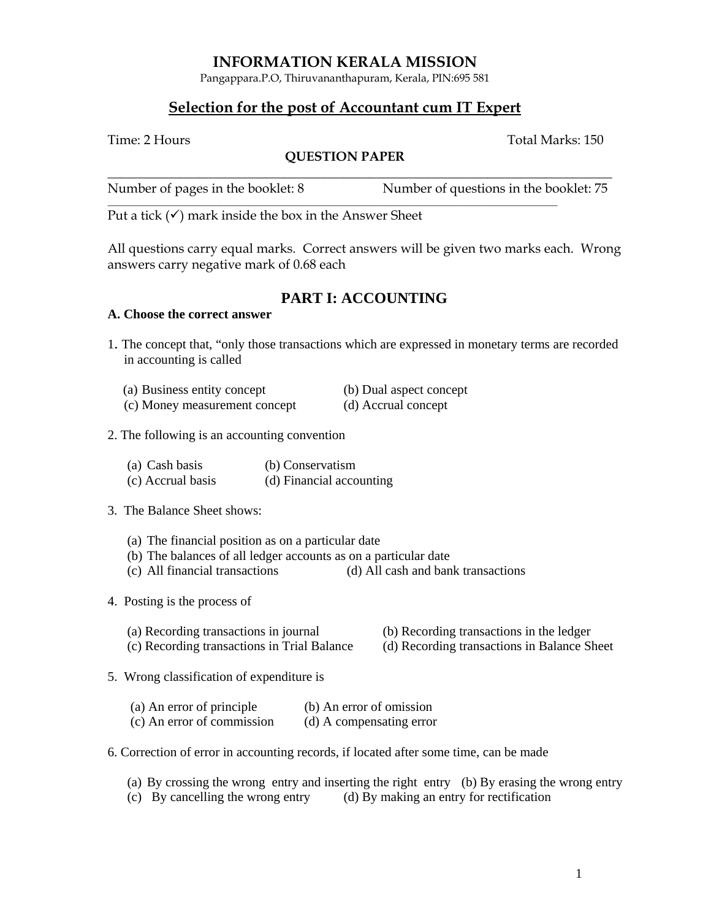## **INFORMATION KERALA MISSION**

Pangappara.P.O, Thiruvananthapuram, Kerala, PIN:695 581

## **Selection for the post of Accountant cum IT Expert**

Time: 2 Hours Total Marks: 150

### **QUESTION PAPER**

| Number of pages in the booklet: 8 | Number of questions in the booklet: 75 |
|-----------------------------------|----------------------------------------|

Put a tick  $(\checkmark)$  mark inside the box in the Answer Sheet

All questions carry equal marks. Correct answers will be given two marks each. Wrong answers carry negative mark of 0.68 each

# **PART I: ACCOUNTING**

### **A. Choose the correct answer**

1. The concept that, "only those transactions which are expressed in monetary terms are recorded in accounting is called

| (a) Business entity concept   | (b) Dual aspect concept |
|-------------------------------|-------------------------|
| (c) Money measurement concept | (d) Accrual concept     |

### 2. The following is an accounting convention

- (a) Cash basis (b) Conservatism
- (c) Accrual basis (d) Financial accounting

### 3. The Balance Sheet shows:

- (a) The financial position as on a particular date
- (b) The balances of all ledger accounts as on a particular date
- (c) All financial transactions (d) All cash and bank transactions
- 4. Posting is the process of
	- (a) Recording transactions in journal (b) Recording transactions in the ledger
	- (c) Recording transactions in Trial Balance (d) Recording transactions in Balance Sheet
- 5. Wrong classification of expenditure is

| (a) An error of principle  | (b) An error of omission |
|----------------------------|--------------------------|
| (c) An error of commission | (d) A compensating error |

- 6. Correction of error in accounting records, if located after some time, can be made
	- (a) By crossing the wrong entry and inserting the right entry (b) By erasing the wrong entry
	- (c) By cancelling the wrong entry (d) By making an entry for rectification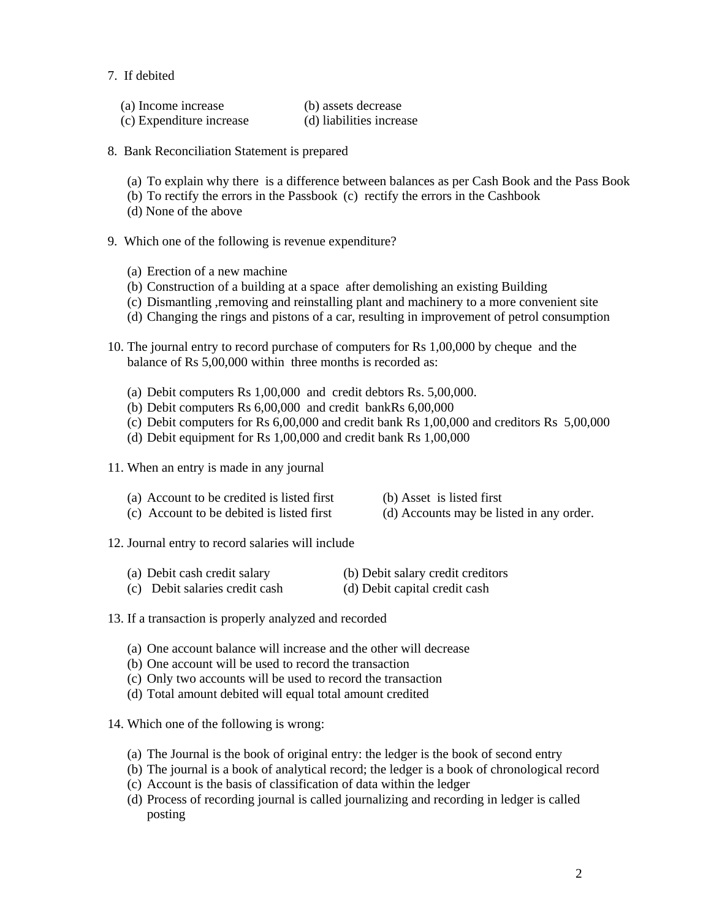7. If debited

| (a) Income increase      | (b) assets decrease      |
|--------------------------|--------------------------|
| (c) Expenditure increase | (d) liabilities increase |

- 8. Bank Reconciliation Statement is prepared
	- (a) To explain why there is a difference between balances as per Cash Book and the Pass Book
	- (b) To rectify the errors in the Passbook (c) rectify the errors in the Cashbook
	- (d) None of the above
- 9. Which one of the following is revenue expenditure?
	- (a) Erection of a new machine
	- (b) Construction of a building at a space after demolishing an existing Building
	- (c) Dismantling ,removing and reinstalling plant and machinery to a more convenient site
	- (d) Changing the rings and pistons of a car, resulting in improvement of petrol consumption
- 10. The journal entry to record purchase of computers for Rs 1,00,000 by cheque and the balance of Rs 5,00,000 within three months is recorded as:
	- (a) Debit computers Rs 1,00,000 and credit debtors Rs. 5,00,000.
	- (b) Debit computers Rs 6,00,000 and credit bankRs 6,00,000
	- (c) Debit computers for Rs 6,00,000 and credit bank Rs 1,00,000 and creditors Rs 5,00,000
	- (d) Debit equipment for Rs 1,00,000 and credit bank Rs 1,00,000
- 11. When an entry is made in any journal
	- (a) Account to be credited is listed first (b) Asset is listed first
	- (c) Account to be debited is listed first (d) Accounts may be listed in any order.
- 12. Journal entry to record salaries will include
	- (a) Debit cash credit salary (b) Debit salary credit creditors
	- (c) Debit salaries credit cash (d) Debit capital credit cash
- 13. If a transaction is properly analyzed and recorded
	- (a) One account balance will increase and the other will decrease
	- (b) One account will be used to record the transaction
	- (c) Only two accounts will be used to record the transaction
	- (d) Total amount debited will equal total amount credited
- 14. Which one of the following is wrong:
	- (a) The Journal is the book of original entry: the ledger is the book of second entry
	- (b) The journal is a book of analytical record; the ledger is a book of chronological record
	- (c) Account is the basis of classification of data within the ledger
	- (d) Process of recording journal is called journalizing and recording in ledger is called posting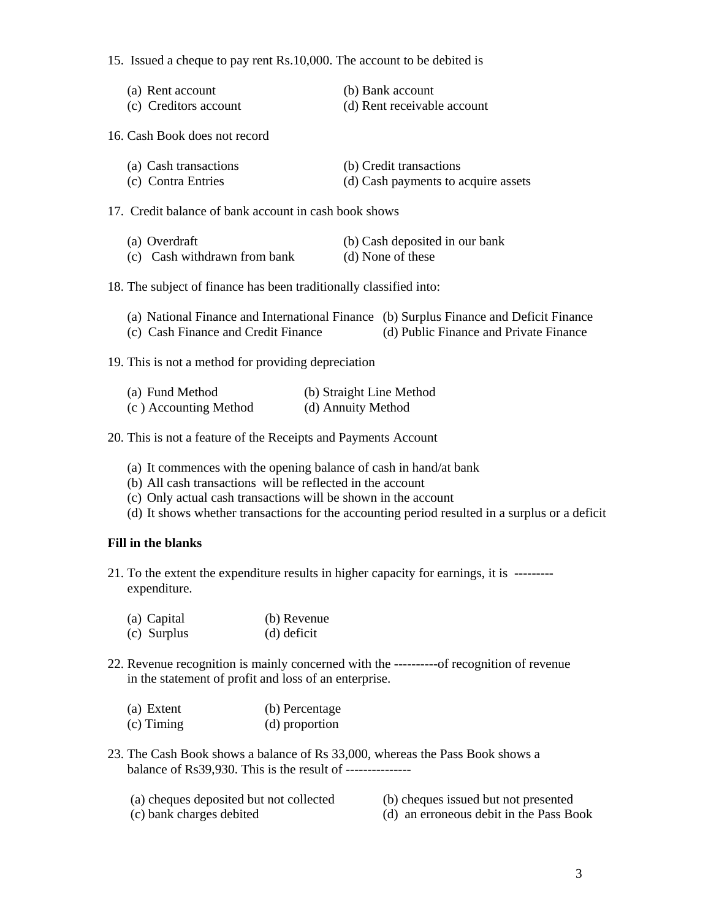15. Issued a cheque to pay rent Rs.10,000. The account to be debited is

| (a) Rent account      | (b) Bank account            |
|-----------------------|-----------------------------|
| (c) Creditors account | (d) Rent receivable account |

16. Cash Book does not record

| (a) Cash transactions | (b) Credit transactions             |
|-----------------------|-------------------------------------|
| (c) Contra Entries    | (d) Cash payments to acquire assets |

17. Credit balance of bank account in cash book shows

| (a) Overdraft                | (b) Cash deposited in our bank |
|------------------------------|--------------------------------|
| (c) Cash withdrawn from bank | (d) None of these              |

18. The subject of finance has been traditionally classified into:

| (a) National Finance and International Finance (b) Surplus Finance and Deficit Finance |                                        |
|----------------------------------------------------------------------------------------|----------------------------------------|
| (c) Cash Finance and Credit Finance                                                    | (d) Public Finance and Private Finance |

19. This is not a method for providing depreciation

| (a) Fund Method       | (b) Straight Line Method |
|-----------------------|--------------------------|
| (c) Accounting Method | (d) Annuity Method       |

20. This is not a feature of the Receipts and Payments Account

- (a) It commences with the opening balance of cash in hand/at bank
- (b) All cash transactions will be reflected in the account
- (c) Only actual cash transactions will be shown in the account
- (d) It shows whether transactions for the accounting period resulted in a surplus or a deficit

### **Fill in the blanks**

- 21. To the extent the expenditure results in higher capacity for earnings, it is -------- expenditure.
	- (a) Capital (b) Revenue
	- (c) Surplus (d) deficit
- 22. Revenue recognition is mainly concerned with the ----------of recognition of revenue in the statement of profit and loss of an enterprise.
	- (a) Extent (b) Percentage (c) Timing (d) proportion
- 23. The Cash Book shows a balance of Rs 33,000, whereas the Pass Book shows a balance of Rs39,930. This is the result of ---------------
	- (a) cheques deposited but not collected (b) cheques issued but not presented
	- (c) bank charges debited (d) an erroneous debit in the Pass Book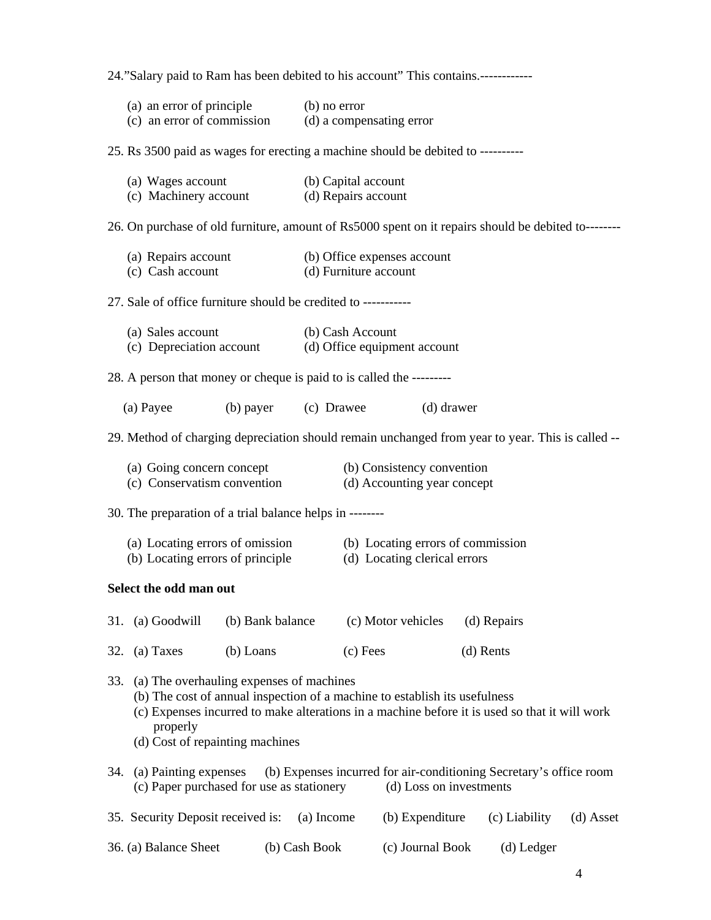24."Salary paid to Ram has been debited to his account" This contains.------------

|                                                                                                                                                                                                                                                                               | (a) an error of principle                                                                                        |                                 | (b) no error<br>(c) an error of commission (d) a compensating error |                       |                                                                                               |           |               |           |
|-------------------------------------------------------------------------------------------------------------------------------------------------------------------------------------------------------------------------------------------------------------------------------|------------------------------------------------------------------------------------------------------------------|---------------------------------|---------------------------------------------------------------------|-----------------------|-----------------------------------------------------------------------------------------------|-----------|---------------|-----------|
|                                                                                                                                                                                                                                                                               | 25. Rs 3500 paid as wages for erecting a machine should be debited to ----------                                 |                                 |                                                                     |                       |                                                                                               |           |               |           |
|                                                                                                                                                                                                                                                                               | (a) Wages account<br>(c) Machinery account (d) Repairs account                                                   | (b) Capital account             |                                                                     |                       |                                                                                               |           |               |           |
|                                                                                                                                                                                                                                                                               | 26. On purchase of old furniture, amount of Rs5000 spent on it repairs should be debited to--------              |                                 |                                                                     |                       |                                                                                               |           |               |           |
|                                                                                                                                                                                                                                                                               | (a) Repairs account<br>(c) Cash account                                                                          |                                 |                                                                     | (d) Furniture account | (b) Office expenses account                                                                   |           |               |           |
|                                                                                                                                                                                                                                                                               | 27. Sale of office furniture should be credited to -----------                                                   |                                 |                                                                     |                       |                                                                                               |           |               |           |
|                                                                                                                                                                                                                                                                               | (a) Sales account<br>(a) Sales account (b) Cash Account<br>(c) Depreciation account (d) Office equipment account |                                 |                                                                     |                       |                                                                                               |           |               |           |
|                                                                                                                                                                                                                                                                               | 28. A person that money or cheque is paid to is called the ---------                                             |                                 |                                                                     |                       |                                                                                               |           |               |           |
|                                                                                                                                                                                                                                                                               | (a) Payee                                                                                                        | (b) payer (c) Drawee (d) drawer |                                                                     |                       |                                                                                               |           |               |           |
|                                                                                                                                                                                                                                                                               | 29. Method of charging depreciation should remain unchanged from year to year. This is called --                 |                                 |                                                                     |                       |                                                                                               |           |               |           |
|                                                                                                                                                                                                                                                                               | (a) Going concern concept<br>(c) Conservatism convention                                                         |                                 |                                                                     |                       | (b) Consistency convention<br>(d) Accounting year concept                                     |           |               |           |
|                                                                                                                                                                                                                                                                               | 30. The preparation of a trial balance helps in --------                                                         |                                 |                                                                     |                       |                                                                                               |           |               |           |
|                                                                                                                                                                                                                                                                               | (a) Locating errors of omission<br>(b) Locating errors of principle                                              |                                 |                                                                     |                       | (b) Locating errors of commission<br>(d) Locating clerical errors                             |           |               |           |
|                                                                                                                                                                                                                                                                               | Select the odd man out                                                                                           |                                 |                                                                     |                       |                                                                                               |           |               |           |
| 31.                                                                                                                                                                                                                                                                           | (a) Goodwill                                                                                                     | (b) Bank balance                |                                                                     |                       | (c) Motor vehicles                                                                            |           | (d) Repairs   |           |
| 32.                                                                                                                                                                                                                                                                           | (a) Taxes                                                                                                        | (b) Loans                       |                                                                     | (c) Fees              |                                                                                               | (d) Rents |               |           |
| 33.<br>(a) The overhauling expenses of machines<br>(b) The cost of annual inspection of a machine to establish its usefulness<br>(c) Expenses incurred to make alterations in a machine before it is used so that it will work<br>properly<br>(d) Cost of repainting machines |                                                                                                                  |                                 |                                                                     |                       |                                                                                               |           |               |           |
| 34.                                                                                                                                                                                                                                                                           | (a) Painting expenses<br>(c) Paper purchased for use as stationery                                               |                                 |                                                                     |                       | (b) Expenses incurred for air-conditioning Secretary's office room<br>(d) Loss on investments |           |               |           |
|                                                                                                                                                                                                                                                                               | 35. Security Deposit received is:                                                                                |                                 | (a) Income                                                          |                       | (b) Expenditure                                                                               |           | (c) Liability | (d) Asset |
|                                                                                                                                                                                                                                                                               | 36. (a) Balance Sheet                                                                                            |                                 | (b) Cash Book                                                       |                       | (c) Journal Book                                                                              |           | (d) Ledger    |           |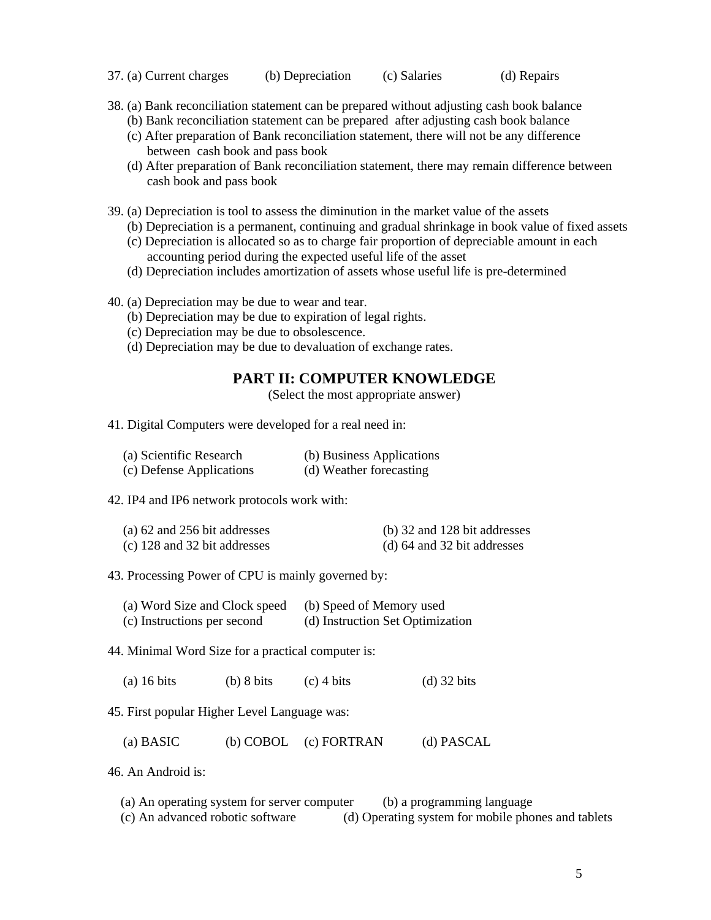- 37. (a) Current charges (b) Depreciation (c) Salaries (d) Repairs
- 38. (a) Bank reconciliation statement can be prepared without adjusting cash book balance
	- (b) Bank reconciliation statement can be prepared after adjusting cash book balance
	- (c) After preparation of Bank reconciliation statement, there will not be any difference between cash book and pass book
	- (d) After preparation of Bank reconciliation statement, there may remain difference between cash book and pass book
- 39. (a) Depreciation is tool to assess the diminution in the market value of the assets
	- (b) Depreciation is a permanent, continuing and gradual shrinkage in book value of fixed assets
	- (c) Depreciation is allocated so as to charge fair proportion of depreciable amount in each accounting period during the expected useful life of the asset
	- (d) Depreciation includes amortization of assets whose useful life is pre-determined
- 40. (a) Depreciation may be due to wear and tear.
	- (b) Depreciation may be due to expiration of legal rights.
	- (c) Depreciation may be due to obsolescence.
	- (d) Depreciation may be due to devaluation of exchange rates.

## **PART II: COMPUTER KNOWLEDGE**

(Select the most appropriate answer)

41. Digital Computers were developed for a real need in:

| (a) Scientific Research  | (b) Business Applications |
|--------------------------|---------------------------|
| (c) Defense Applications | (d) Weather forecasting   |

#### 42. IP4 and IP6 network protocols work with:

| (a) $62$ and $256$ bit addresses | (b) 32 and 128 bit addresses    |
|----------------------------------|---------------------------------|
| (c) 128 and 32 bit addresses     | (d) $64$ and $32$ bit addresses |

43. Processing Power of CPU is mainly governed by:

| (a) Word Size and Clock speed | (b) Speed of Memory used         |
|-------------------------------|----------------------------------|
| (c) Instructions per second   | (d) Instruction Set Optimization |

44. Minimal Word Size for a practical computer is:

(a)  $16 \text{ bits}$  (b)  $8 \text{ bits}$  (c)  $4 \text{ bits}$  (d)  $32 \text{ bits}$ 

45. First popular Higher Level Language was:

(a) BASIC (b) COBOL (c) FORTRAN (d) PASCAL

46. An Android is:

(a) An operating system for server computer (b) a programming language

(c) An advanced robotic software (d) Operating system for mobile phones and tablets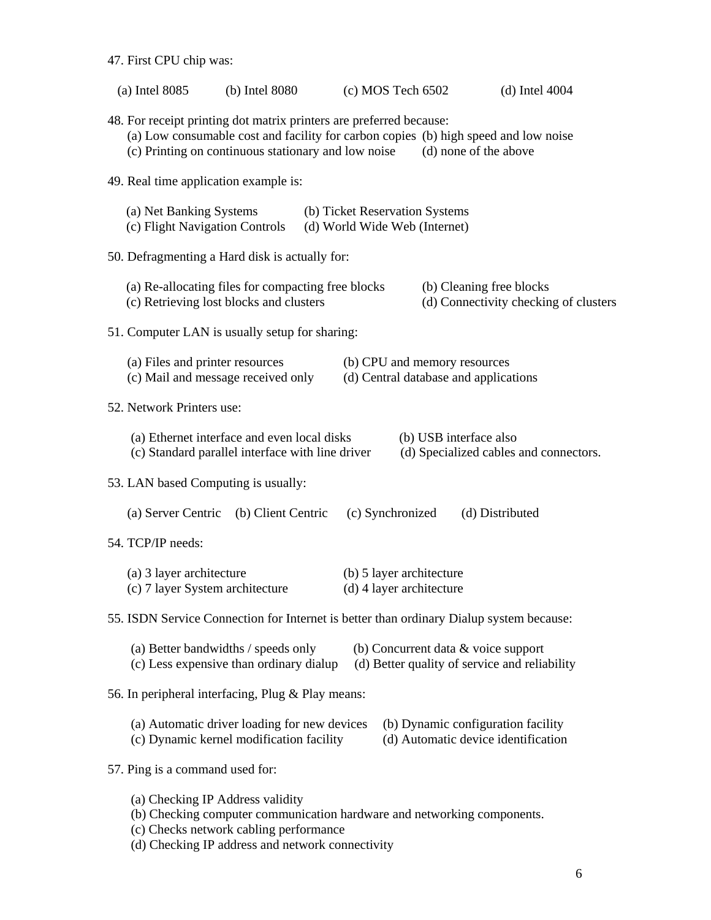47. First CPU chip was:

| $(a)$ Intel 8085                                                                                                                                                                                                                           | (b) Intel 8080                                                                                                                                                      | $(c)$ MOS Tech 6502                                  |                                    | $(d)$ Intel 4004                      |  |  |  |  |
|--------------------------------------------------------------------------------------------------------------------------------------------------------------------------------------------------------------------------------------------|---------------------------------------------------------------------------------------------------------------------------------------------------------------------|------------------------------------------------------|------------------------------------|---------------------------------------|--|--|--|--|
| 48. For receipt printing dot matrix printers are preferred because:<br>(a) Low consumable cost and facility for carbon copies (b) high speed and low noise<br>(c) Printing on continuous stationary and low noise<br>(d) none of the above |                                                                                                                                                                     |                                                      |                                    |                                       |  |  |  |  |
| 49. Real time application example is:                                                                                                                                                                                                      |                                                                                                                                                                     |                                                      |                                    |                                       |  |  |  |  |
|                                                                                                                                                                                                                                            | (a) Net Banking Systems<br>(b) Ticket Reservation Systems<br>(c) Flight Navigation Controls<br>(d) World Wide Web (Internet)                                        |                                                      |                                    |                                       |  |  |  |  |
|                                                                                                                                                                                                                                            | 50. Defragmenting a Hard disk is actually for:                                                                                                                      |                                                      |                                    |                                       |  |  |  |  |
|                                                                                                                                                                                                                                            | (a) Re-allocating files for compacting free blocks<br>(c) Retrieving lost blocks and clusters                                                                       |                                                      | (b) Cleaning free blocks           | (d) Connectivity checking of clusters |  |  |  |  |
|                                                                                                                                                                                                                                            | 51. Computer LAN is usually setup for sharing:                                                                                                                      |                                                      |                                    |                                       |  |  |  |  |
|                                                                                                                                                                                                                                            | (a) Files and printer resources<br>(b) CPU and memory resources<br>(d) Central database and applications<br>(c) Mail and message received only                      |                                                      |                                    |                                       |  |  |  |  |
| 52. Network Printers use:                                                                                                                                                                                                                  |                                                                                                                                                                     |                                                      |                                    |                                       |  |  |  |  |
|                                                                                                                                                                                                                                            | (a) Ethernet interface and even local disks<br>(b) USB interface also<br>(d) Specialized cables and connectors.<br>(c) Standard parallel interface with line driver |                                                      |                                    |                                       |  |  |  |  |
| 53. LAN based Computing is usually:                                                                                                                                                                                                        |                                                                                                                                                                     |                                                      |                                    |                                       |  |  |  |  |
| (a) Server Centric<br>(b) Client Centric<br>(c) Synchronized<br>(d) Distributed                                                                                                                                                            |                                                                                                                                                                     |                                                      |                                    |                                       |  |  |  |  |
| 54. TCP/IP needs:                                                                                                                                                                                                                          |                                                                                                                                                                     |                                                      |                                    |                                       |  |  |  |  |
| (a) 3 layer architecture<br>(c) 7 layer System architecture                                                                                                                                                                                |                                                                                                                                                                     | (b) 5 layer architecture<br>(d) 4 layer architecture |                                    |                                       |  |  |  |  |
| 55. ISDN Service Connection for Internet is better than ordinary Dialup system because:                                                                                                                                                    |                                                                                                                                                                     |                                                      |                                    |                                       |  |  |  |  |
| (a) Better bandwidths / speeds only<br>(b) Concurrent data & voice support<br>(c) Less expensive than ordinary dialup<br>(d) Better quality of service and reliability                                                                     |                                                                                                                                                                     |                                                      |                                    |                                       |  |  |  |  |
| 56. In peripheral interfacing, Plug & Play means:                                                                                                                                                                                          |                                                                                                                                                                     |                                                      |                                    |                                       |  |  |  |  |
|                                                                                                                                                                                                                                            | (a) Automatic driver loading for new devices<br>(c) Dynamic kernel modification facility                                                                            |                                                      | (b) Dynamic configuration facility | (d) Automatic device identification   |  |  |  |  |
| 57. Ping is a command used for:                                                                                                                                                                                                            |                                                                                                                                                                     |                                                      |                                    |                                       |  |  |  |  |
| (a) Checking IP Address validity<br>(b) Checking computer communication hardware and networking components.<br>(c) Checks network cabling performance<br>(d) Checking IP address and network connectivity                                  |                                                                                                                                                                     |                                                      |                                    |                                       |  |  |  |  |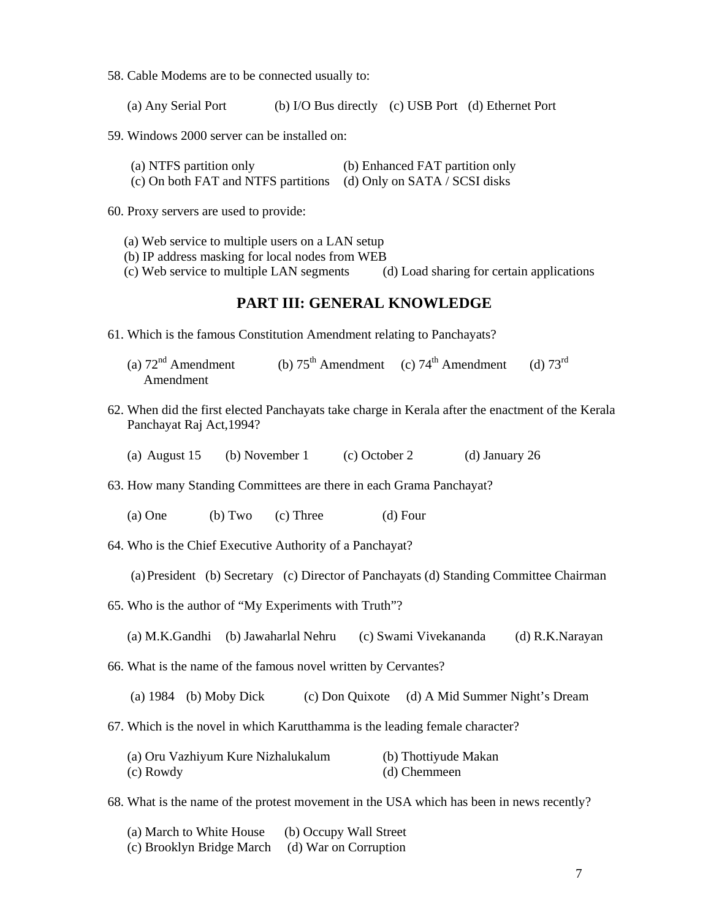58. Cable Modems are to be connected usually to:

(a) Any Serial Port (b) I/O Bus directly (c) USB Port (d) Ethernet Port

59. Windows 2000 server can be installed on:

| (a) NTFS partition only                                           | (b) Enhanced FAT partition only |
|-------------------------------------------------------------------|---------------------------------|
| (c) On both FAT and NTFS partitions (d) Only on SATA / SCSI disks |                                 |

60. Proxy servers are used to provide:

(a) Web service to multiple users on a LAN setup

(b) IP address masking for local nodes from WEB

(c) Web service to multiple LAN segments (d) Load sharing for certain applications

## **PART III: GENERAL KNOWLEDGE**

- 61. Which is the famous Constitution Amendment relating to Panchayats?
	- (a)  $72<sup>nd</sup>$  Amendment (b)  $75<sup>th</sup>$  Amendment (c)  $74<sup>th</sup>$  Amendment (d)  $73<sup>rd</sup>$ Amendment
- 62. When did the first elected Panchayats take charge in Kerala after the enactment of the Kerala Panchayat Raj Act,1994?

(a) August 15 (b) November 1 (c) October 2 (d) January 26

63. How many Standing Committees are there in each Grama Panchayat?

(a) One (b) Two (c) Three (d) Four

64. Who is the Chief Executive Authority of a Panchayat?

(a)President (b) Secretary (c) Director of Panchayats (d) Standing Committee Chairman

65. Who is the author of "My Experiments with Truth"?

(a) M.K.Gandhi (b) Jawaharlal Nehru (c) Swami Vivekananda (d) R.K.Narayan

66. What is the name of the famous novel written by Cervantes?

(a) 1984 (b) Moby Dick (c) Don Quixote (d) A Mid Summer Night's Dream

67. Which is the novel in which Karutthamma is the leading female character?

 (a) Oru Vazhiyum Kure Nizhalukalum (b) Thottiyude Makan (c) Rowdy (d) Chemmeen

68. What is the name of the protest movement in the USA which has been in news recently?

| (a) March to White House  | (b) Occupy Wall Street |
|---------------------------|------------------------|
| (c) Brooklyn Bridge March | (d) War on Corruption  |